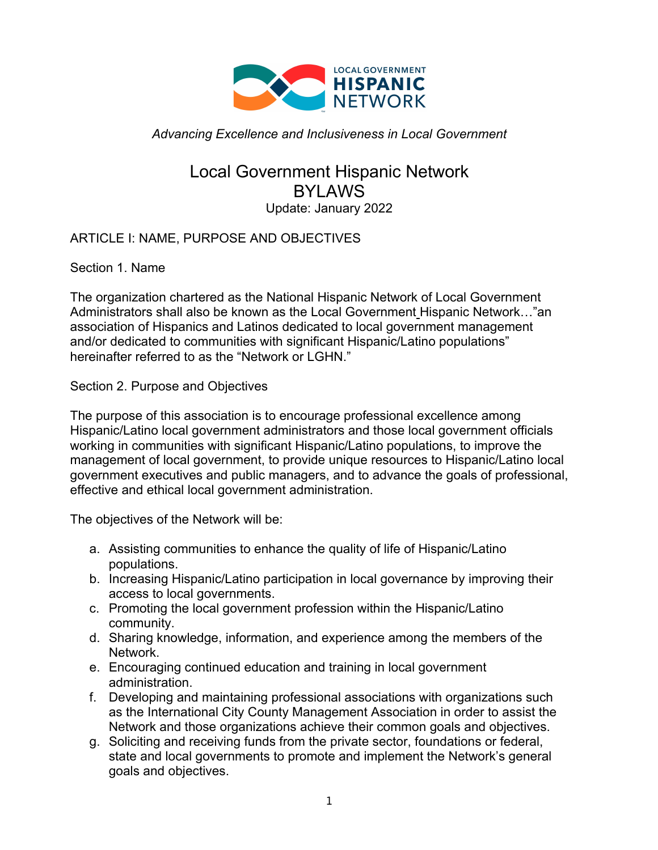

# *Advancing Excellence and Inclusiveness in Local Government*

# Local Government Hispanic Network BYLAWS Update: January 2022

# ARTICLE I: NAME, PURPOSE AND OBJECTIVES

Section 1. Name

The organization chartered as the National Hispanic Network of Local Government Administrators shall also be known as the Local Government Hispanic Network…"an association of Hispanics and Latinos dedicated to local government management and/or dedicated to communities with significant Hispanic/Latino populations" hereinafter referred to as the "Network or LGHN."

Section 2. Purpose and Objectives

The purpose of this association is to encourage professional excellence among Hispanic/Latino local government administrators and those local government officials working in communities with significant Hispanic/Latino populations, to improve the management of local government, to provide unique resources to Hispanic/Latino local government executives and public managers, and to advance the goals of professional, effective and ethical local government administration.

The objectives of the Network will be:

- a. Assisting communities to enhance the quality of life of Hispanic/Latino populations.
- b. Increasing Hispanic/Latino participation in local governance by improving their access to local governments.
- c. Promoting the local government profession within the Hispanic/Latino community.
- d. Sharing knowledge, information, and experience among the members of the Network.
- e. Encouraging continued education and training in local government administration.
- f. Developing and maintaining professional associations with organizations such as the International City County Management Association in order to assist the Network and those organizations achieve their common goals and objectives.
- g. Soliciting and receiving funds from the private sector, foundations or federal, state and local governments to promote and implement the Network's general goals and objectives.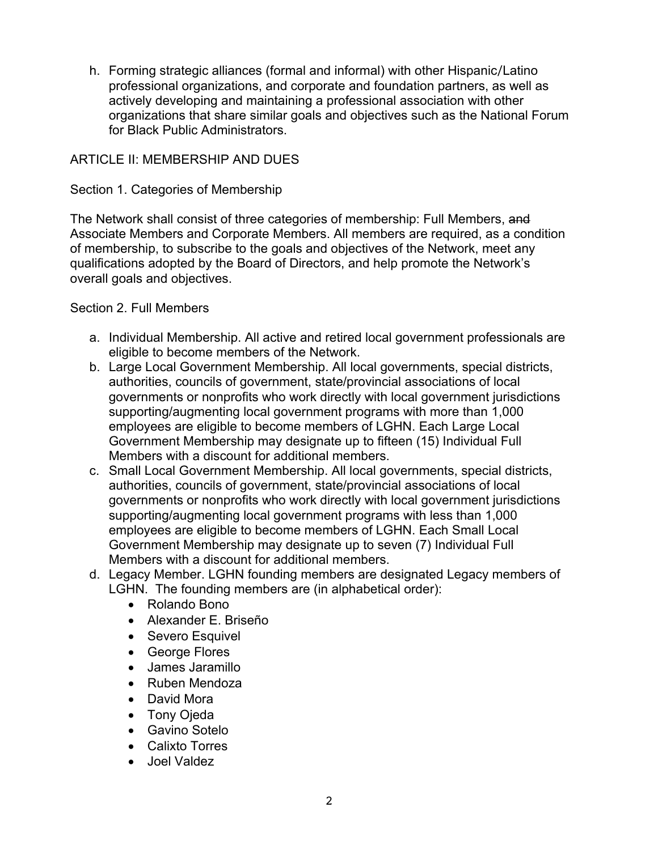h. Forming strategic alliances (formal and informal) with other Hispanic/Latino professional organizations, and corporate and foundation partners, as well as actively developing and maintaining a professional association with other organizations that share similar goals and objectives such as the National Forum for Black Public Administrators.

# ARTICLE II: MEMBERSHIP AND DUES

#### Section 1. Categories of Membership

The Network shall consist of three categories of membership: Full Members, and Associate Members and Corporate Members. All members are required, as a condition of membership, to subscribe to the goals and objectives of the Network, meet any qualifications adopted by the Board of Directors, and help promote the Network's overall goals and objectives.

#### Section 2. Full Members

- a. Individual Membership. All active and retired local government professionals are eligible to become members of the Network.
- b. Large Local Government Membership. All local governments, special districts, authorities, councils of government, state/provincial associations of local governments or nonprofits who work directly with local government jurisdictions supporting/augmenting local government programs with more than 1,000 employees are eligible to become members of LGHN. Each Large Local Government Membership may designate up to fifteen (15) Individual Full Members with a discount for additional members.
- c. Small Local Government Membership. All local governments, special districts, authorities, councils of government, state/provincial associations of local governments or nonprofits who work directly with local government jurisdictions supporting/augmenting local government programs with less than 1,000 employees are eligible to become members of LGHN. Each Small Local Government Membership may designate up to seven (7) Individual Full Members with a discount for additional members.
- d. Legacy Member. LGHN founding members are designated Legacy members of LGHN. The founding members are (in alphabetical order):
	- Rolando Bono
	- Alexander E. Briseño
	- Severo Esquivel
	- George Flores
	- James Jaramillo
	- Ruben Mendoza
	- David Mora
	- Tony Ojeda
	- Gavino Sotelo
	- Calixto Torres
	- Joel Valdez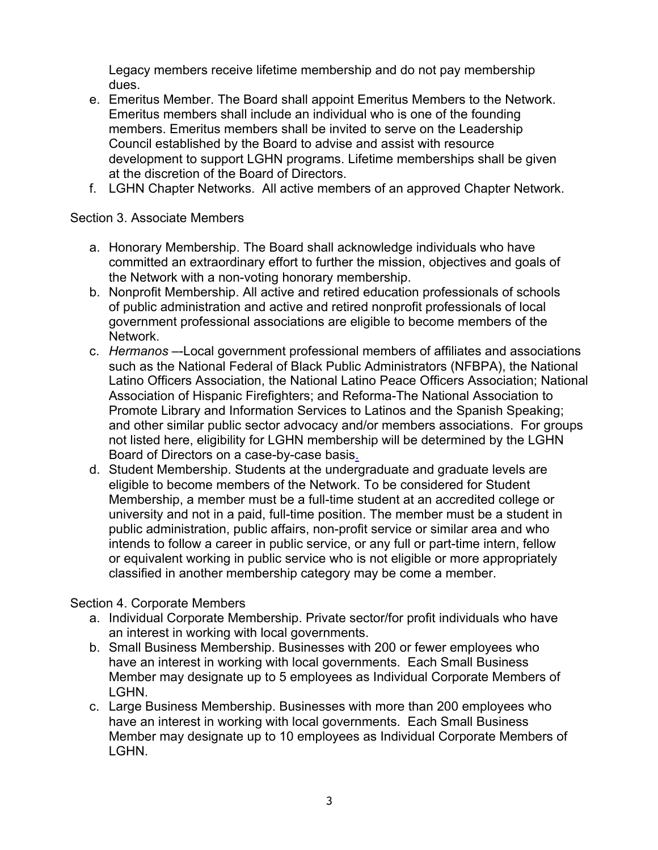Legacy members receive lifetime membership and do not pay membership dues.

- e. Emeritus Member. The Board shall appoint Emeritus Members to the Network. Emeritus members shall include an individual who is one of the founding members. Emeritus members shall be invited to serve on the Leadership Council established by the Board to advise and assist with resource development to support LGHN programs. Lifetime memberships shall be given at the discretion of the Board of Directors.
- f. LGHN Chapter Networks. All active members of an approved Chapter Network.

## Section 3. Associate Members

- a. Honorary Membership. The Board shall acknowledge individuals who have committed an extraordinary effort to further the mission, objectives and goals of the Network with a non-voting honorary membership.
- b. Nonprofit Membership. All active and retired education professionals of schools of public administration and active and retired nonprofit professionals of local government professional associations are eligible to become members of the Network.
- c. *Hermanos* –-Local government professional members of affiliates and associations such as the National Federal of Black Public Administrators (NFBPA), the National Latino Officers Association, the National Latino Peace Officers Association; National Association of Hispanic Firefighters; and Reforma-The National Association to Promote Library and Information Services to Latinos and the Spanish Speaking; and other similar public sector advocacy and/or members associations. For groups not listed here, eligibility for LGHN membership will be determined by the LGHN Board of Directors on a case-by-case basis.
- d. Student Membership. Students at the undergraduate and graduate levels are eligible to become members of the Network. To be considered for Student Membership, a member must be a full-time student at an accredited college or university and not in a paid, full-time position. The member must be a student in public administration, public affairs, non-profit service or similar area and who intends to follow a career in public service, or any full or part-time intern, fellow or equivalent working in public service who is not eligible or more appropriately classified in another membership category may be come a member.

## Section 4. Corporate Members

- a. Individual Corporate Membership. Private sector/for profit individuals who have an interest in working with local governments.
- b. Small Business Membership. Businesses with 200 or fewer employees who have an interest in working with local governments. Each Small Business Member may designate up to 5 employees as Individual Corporate Members of LGHN.
- c. Large Business Membership. Businesses with more than 200 employees who have an interest in working with local governments. Each Small Business Member may designate up to 10 employees as Individual Corporate Members of LGHN.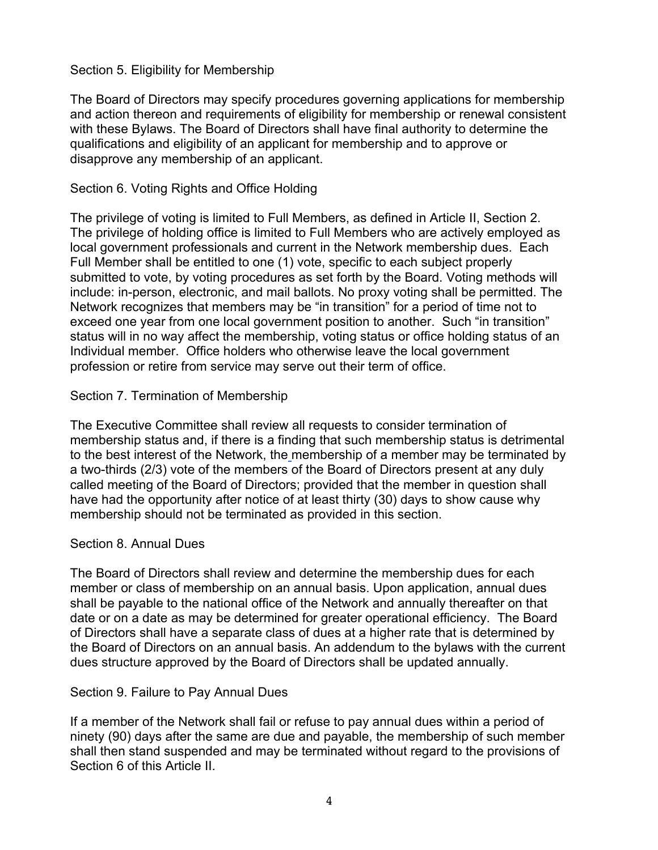#### Section 5. Eligibility for Membership

The Board of Directors may specify procedures governing applications for membership and action thereon and requirements of eligibility for membership or renewal consistent with these Bylaws. The Board of Directors shall have final authority to determine the qualifications and eligibility of an applicant for membership and to approve or disapprove any membership of an applicant.

#### Section 6. Voting Rights and Office Holding

The privilege of voting is limited to Full Members, as defined in Article II, Section 2. The privilege of holding office is limited to Full Members who are actively employed as local government professionals and current in the Network membership dues. Each Full Member shall be entitled to one (1) vote, specific to each subject properly submitted to vote, by voting procedures as set forth by the Board. Voting methods will include: in-person, electronic, and mail ballots. No proxy voting shall be permitted. The Network recognizes that members may be "in transition" for a period of time not to exceed one year from one local government position to another. Such "in transition" status will in no way affect the membership, voting status or office holding status of an Individual member. Office holders who otherwise leave the local government profession or retire from service may serve out their term of office.

#### Section 7. Termination of Membership

The Executive Committee shall review all requests to consider termination of membership status and, if there is a finding that such membership status is detrimental to the best interest of the Network, the membership of a member may be terminated by a two-thirds (2/3) vote of the members of the Board of Directors present at any duly called meeting of the Board of Directors; provided that the member in question shall have had the opportunity after notice of at least thirty (30) days to show cause why membership should not be terminated as provided in this section.

#### Section 8. Annual Dues

The Board of Directors shall review and determine the membership dues for each member or class of membership on an annual basis. Upon application, annual dues shall be payable to the national office of the Network and annually thereafter on that date or on a date as may be determined for greater operational efficiency. The Board of Directors shall have a separate class of dues at a higher rate that is determined by the Board of Directors on an annual basis. An addendum to the bylaws with the current dues structure approved by the Board of Directors shall be updated annually.

## Section 9. Failure to Pay Annual Dues

If a member of the Network shall fail or refuse to pay annual dues within a period of ninety (90) days after the same are due and payable, the membership of such member shall then stand suspended and may be terminated without regard to the provisions of Section 6 of this Article II.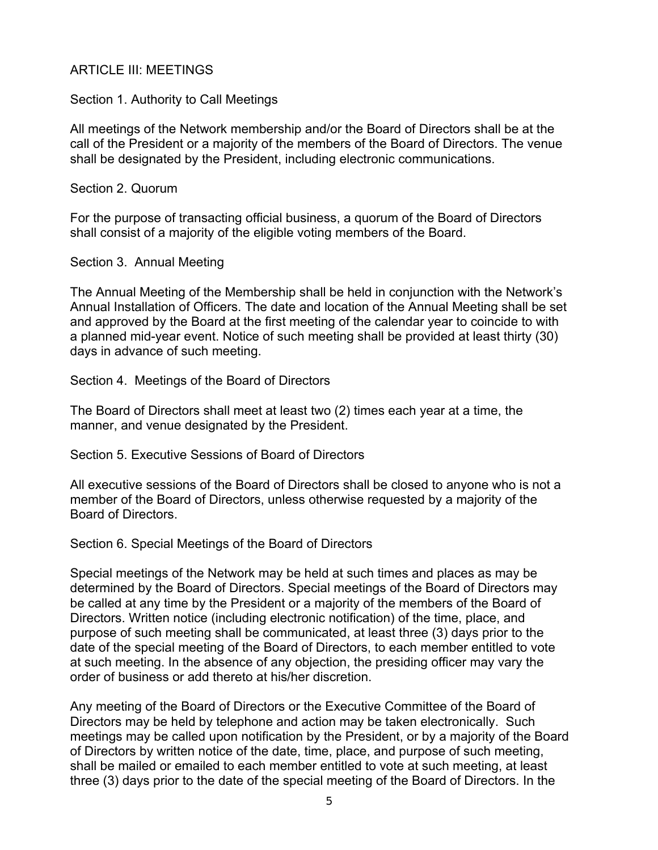## ARTICLE III: MEETINGS

#### Section 1. Authority to Call Meetings

All meetings of the Network membership and/or the Board of Directors shall be at the call of the President or a majority of the members of the Board of Directors. The venue shall be designated by the President, including electronic communications.

Section 2. Quorum

For the purpose of transacting official business, a quorum of the Board of Directors shall consist of a majority of the eligible voting members of the Board.

Section 3. Annual Meeting

The Annual Meeting of the Membership shall be held in conjunction with the Network's Annual Installation of Officers. The date and location of the Annual Meeting shall be set and approved by the Board at the first meeting of the calendar year to coincide to with a planned mid-year event. Notice of such meeting shall be provided at least thirty (30) days in advance of such meeting.

Section 4. Meetings of the Board of Directors

The Board of Directors shall meet at least two (2) times each year at a time, the manner, and venue designated by the President.

Section 5. Executive Sessions of Board of Directors

All executive sessions of the Board of Directors shall be closed to anyone who is not a member of the Board of Directors, unless otherwise requested by a majority of the Board of Directors.

Section 6. Special Meetings of the Board of Directors

Special meetings of the Network may be held at such times and places as may be determined by the Board of Directors. Special meetings of the Board of Directors may be called at any time by the President or a majority of the members of the Board of Directors. Written notice (including electronic notification) of the time, place, and purpose of such meeting shall be communicated, at least three (3) days prior to the date of the special meeting of the Board of Directors, to each member entitled to vote at such meeting. In the absence of any objection, the presiding officer may vary the order of business or add thereto at his/her discretion.

Any meeting of the Board of Directors or the Executive Committee of the Board of Directors may be held by telephone and action may be taken electronically. Such meetings may be called upon notification by the President, or by a majority of the Board of Directors by written notice of the date, time, place, and purpose of such meeting, shall be mailed or emailed to each member entitled to vote at such meeting, at least three (3) days prior to the date of the special meeting of the Board of Directors. In the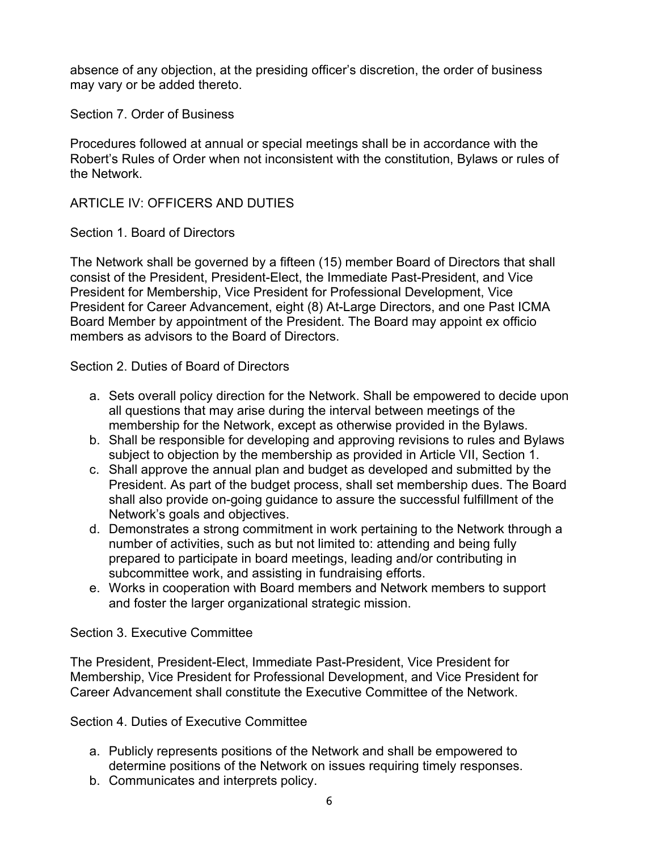absence of any objection, at the presiding officer's discretion, the order of business may vary or be added thereto.

Section 7. Order of Business

Procedures followed at annual or special meetings shall be in accordance with the Robert's Rules of Order when not inconsistent with the constitution, Bylaws or rules of the Network.

ARTICLE IV: OFFICERS AND DUTIES

Section 1. Board of Directors

The Network shall be governed by a fifteen (15) member Board of Directors that shall consist of the President, President-Elect, the Immediate Past-President, and Vice President for Membership, Vice President for Professional Development, Vice President for Career Advancement, eight (8) At-Large Directors, and one Past ICMA Board Member by appointment of the President. The Board may appoint ex officio members as advisors to the Board of Directors.

Section 2. Duties of Board of Directors

- a. Sets overall policy direction for the Network. Shall be empowered to decide upon all questions that may arise during the interval between meetings of the membership for the Network, except as otherwise provided in the Bylaws.
- b. Shall be responsible for developing and approving revisions to rules and Bylaws subject to objection by the membership as provided in Article VII, Section 1.
- c. Shall approve the annual plan and budget as developed and submitted by the President. As part of the budget process, shall set membership dues. The Board shall also provide on-going guidance to assure the successful fulfillment of the Network's goals and objectives.
- d. Demonstrates a strong commitment in work pertaining to the Network through a number of activities, such as but not limited to: attending and being fully prepared to participate in board meetings, leading and/or contributing in subcommittee work, and assisting in fundraising efforts.
- e. Works in cooperation with Board members and Network members to support and foster the larger organizational strategic mission.

Section 3. Executive Committee

The President, President-Elect, Immediate Past-President, Vice President for Membership, Vice President for Professional Development, and Vice President for Career Advancement shall constitute the Executive Committee of the Network.

Section 4. Duties of Executive Committee

- a. Publicly represents positions of the Network and shall be empowered to determine positions of the Network on issues requiring timely responses.
- b. Communicates and interprets policy.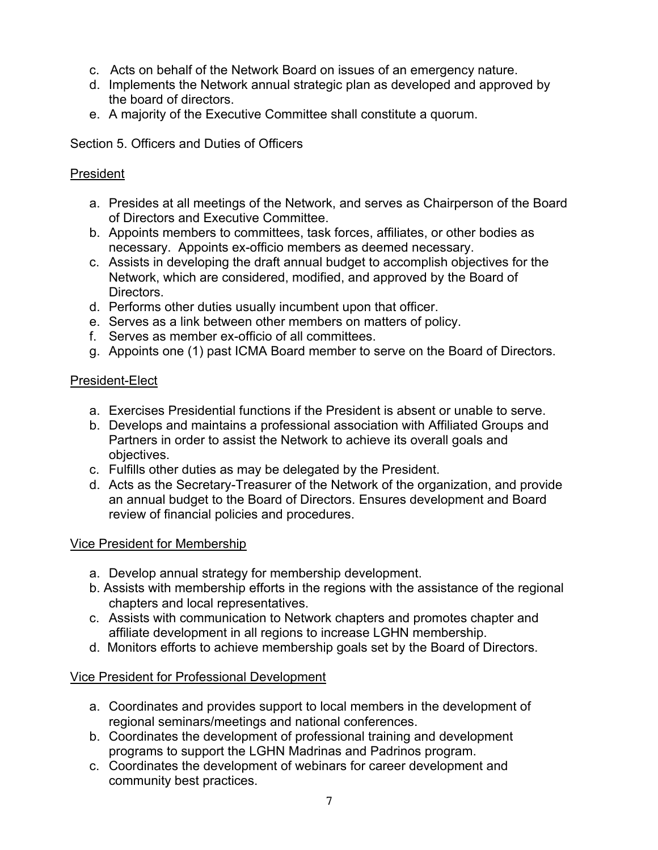- c. Acts on behalf of the Network Board on issues of an emergency nature.
- d. Implements the Network annual strategic plan as developed and approved by the board of directors.
- e. A majority of the Executive Committee shall constitute a quorum.

Section 5. Officers and Duties of Officers

# President

- a. Presides at all meetings of the Network, and serves as Chairperson of the Board of Directors and Executive Committee.
- b. Appoints members to committees, task forces, affiliates, or other bodies as necessary. Appoints ex-officio members as deemed necessary.
- c. Assists in developing the draft annual budget to accomplish objectives for the Network, which are considered, modified, and approved by the Board of Directors.
- d. Performs other duties usually incumbent upon that officer.
- e. Serves as a link between other members on matters of policy.
- f. Serves as member ex-officio of all committees.
- g. Appoints one (1) past ICMA Board member to serve on the Board of Directors.

# President-Elect

- a. Exercises Presidential functions if the President is absent or unable to serve.
- b. Develops and maintains a professional association with Affiliated Groups and Partners in order to assist the Network to achieve its overall goals and objectives.
- c. Fulfills other duties as may be delegated by the President.
- d. Acts as the Secretary-Treasurer of the Network of the organization, and provide an annual budget to the Board of Directors. Ensures development and Board review of financial policies and procedures.

# Vice President for Membership

- a. Develop annual strategy for membership development.
- b. Assists with membership efforts in the regions with the assistance of the regional chapters and local representatives.
- c. Assists with communication to Network chapters and promotes chapter and affiliate development in all regions to increase LGHN membership.
- d. Monitors efforts to achieve membership goals set by the Board of Directors.

# Vice President for Professional Development

- a. Coordinates and provides support to local members in the development of regional seminars/meetings and national conferences.
- b. Coordinates the development of professional training and development programs to support the LGHN Madrinas and Padrinos program.
- c. Coordinates the development of webinars for career development and community best practices.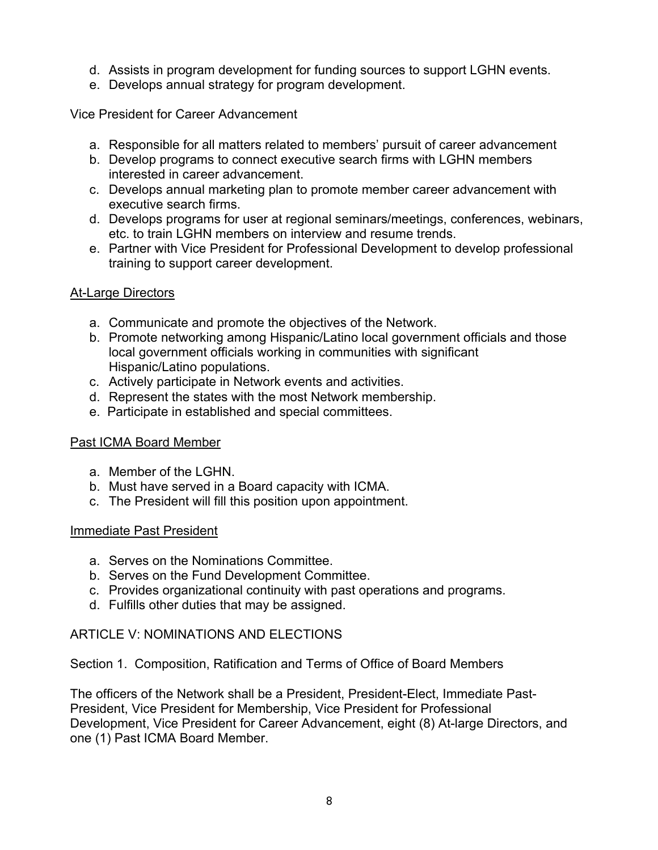- d. Assists in program development for funding sources to support LGHN events.
- e. Develops annual strategy for program development.

Vice President for Career Advancement

- a. Responsible for all matters related to members' pursuit of career advancement
- b. Develop programs to connect executive search firms with LGHN members interested in career advancement.
- c. Develops annual marketing plan to promote member career advancement with executive search firms.
- d. Develops programs for user at regional seminars/meetings, conferences, webinars, etc. to train LGHN members on interview and resume trends.
- e. Partner with Vice President for Professional Development to develop professional training to support career development.

## At-Large Directors

- a. Communicate and promote the objectives of the Network.
- b. Promote networking among Hispanic/Latino local government officials and those local government officials working in communities with significant Hispanic/Latino populations.
- c. Actively participate in Network events and activities.
- d. Represent the states with the most Network membership.
- e. Participate in established and special committees.

## Past ICMA Board Member

- a. Member of the LGHN.
- b. Must have served in a Board capacity with ICMA.
- c. The President will fill this position upon appointment.

## Immediate Past President

- a. Serves on the Nominations Committee.
- b. Serves on the Fund Development Committee.
- c. Provides organizational continuity with past operations and programs.
- d. Fulfills other duties that may be assigned.

# ARTICLE V: NOMINATIONS AND ELECTIONS

Section 1. Composition, Ratification and Terms of Office of Board Members

The officers of the Network shall be a President, President-Elect, Immediate Past-President, Vice President for Membership, Vice President for Professional Development, Vice President for Career Advancement, eight (8) At-large Directors, and one (1) Past ICMA Board Member.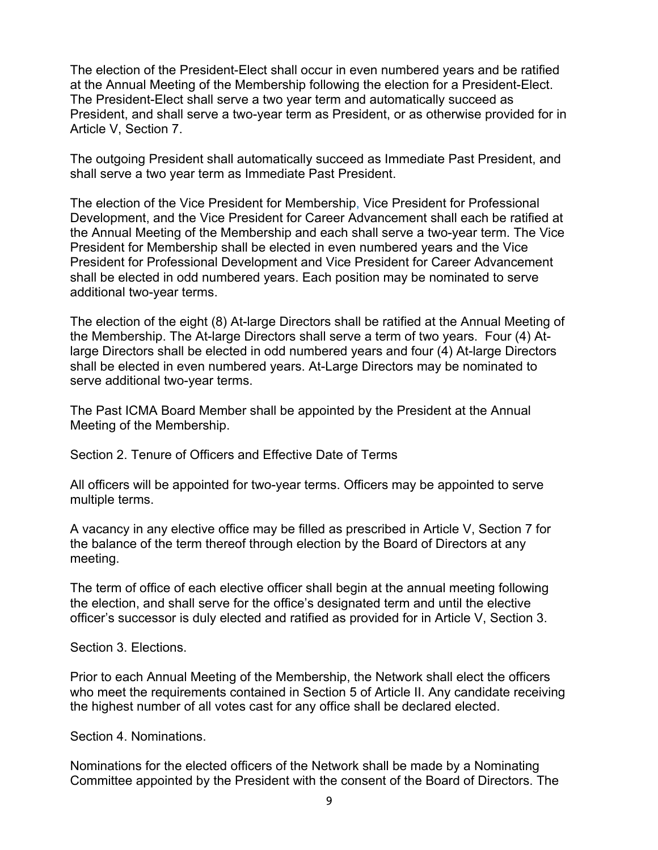The election of the President-Elect shall occur in even numbered years and be ratified at the Annual Meeting of the Membership following the election for a President-Elect. The President-Elect shall serve a two year term and automatically succeed as President, and shall serve a two-year term as President, or as otherwise provided for in Article V, Section 7.

The outgoing President shall automatically succeed as Immediate Past President, and shall serve a two year term as Immediate Past President.

The election of the Vice President for Membership, Vice President for Professional Development, and the Vice President for Career Advancement shall each be ratified at the Annual Meeting of the Membership and each shall serve a two-year term. The Vice President for Membership shall be elected in even numbered years and the Vice President for Professional Development and Vice President for Career Advancement shall be elected in odd numbered years. Each position may be nominated to serve additional two-year terms.

The election of the eight (8) At-large Directors shall be ratified at the Annual Meeting of the Membership. The At-large Directors shall serve a term of two years. Four (4) Atlarge Directors shall be elected in odd numbered years and four (4) At-large Directors shall be elected in even numbered years. At-Large Directors may be nominated to serve additional two-year terms.

The Past ICMA Board Member shall be appointed by the President at the Annual Meeting of the Membership.

Section 2. Tenure of Officers and Effective Date of Terms

All officers will be appointed for two-year terms. Officers may be appointed to serve multiple terms.

A vacancy in any elective office may be filled as prescribed in Article V, Section 7 for the balance of the term thereof through election by the Board of Directors at any meeting.

The term of office of each elective officer shall begin at the annual meeting following the election, and shall serve for the office's designated term and until the elective officer's successor is duly elected and ratified as provided for in Article V, Section 3.

Section 3. Elections.

Prior to each Annual Meeting of the Membership, the Network shall elect the officers who meet the requirements contained in Section 5 of Article II. Any candidate receiving the highest number of all votes cast for any office shall be declared elected.

Section 4. Nominations.

Nominations for the elected officers of the Network shall be made by a Nominating Committee appointed by the President with the consent of the Board of Directors. The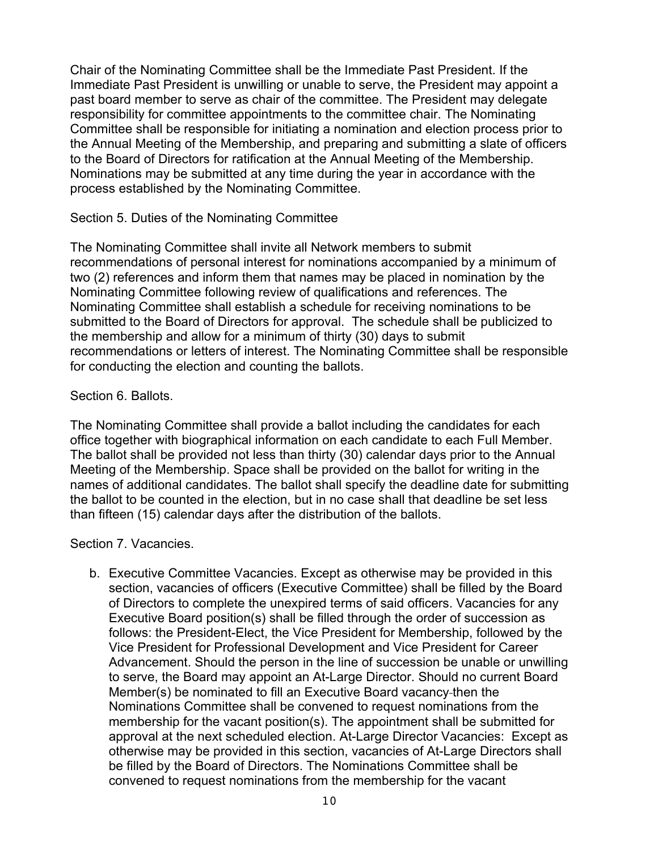Chair of the Nominating Committee shall be the Immediate Past President. If the Immediate Past President is unwilling or unable to serve, the President may appoint a past board member to serve as chair of the committee. The President may delegate responsibility for committee appointments to the committee chair. The Nominating Committee shall be responsible for initiating a nomination and election process prior to the Annual Meeting of the Membership, and preparing and submitting a slate of officers to the Board of Directors for ratification at the Annual Meeting of the Membership. Nominations may be submitted at any time during the year in accordance with the process established by the Nominating Committee.

## Section 5. Duties of the Nominating Committee

The Nominating Committee shall invite all Network members to submit recommendations of personal interest for nominations accompanied by a minimum of two (2) references and inform them that names may be placed in nomination by the Nominating Committee following review of qualifications and references. The Nominating Committee shall establish a schedule for receiving nominations to be submitted to the Board of Directors for approval. The schedule shall be publicized to the membership and allow for a minimum of thirty (30) days to submit recommendations or letters of interest. The Nominating Committee shall be responsible for conducting the election and counting the ballots.

## Section 6. Ballots.

The Nominating Committee shall provide a ballot including the candidates for each office together with biographical information on each candidate to each Full Member. The ballot shall be provided not less than thirty (30) calendar days prior to the Annual Meeting of the Membership. Space shall be provided on the ballot for writing in the names of additional candidates. The ballot shall specify the deadline date for submitting the ballot to be counted in the election, but in no case shall that deadline be set less than fifteen (15) calendar days after the distribution of the ballots.

## Section 7. Vacancies.

b. Executive Committee Vacancies. Except as otherwise may be provided in this section, vacancies of officers (Executive Committee) shall be filled by the Board of Directors to complete the unexpired terms of said officers. Vacancies for any Executive Board position(s) shall be filled through the order of succession as follows: the President-Elect, the Vice President for Membership, followed by the Vice President for Professional Development and Vice President for Career Advancement. Should the person in the line of succession be unable or unwilling to serve, the Board may appoint an At-Large Director. Should no current Board Member(s) be nominated to fill an Executive Board vacancy then the Nominations Committee shall be convened to request nominations from the membership for the vacant position(s). The appointment shall be submitted for approval at the next scheduled election. At-Large Director Vacancies: Except as otherwise may be provided in this section, vacancies of At-Large Directors shall be filled by the Board of Directors. The Nominations Committee shall be convened to request nominations from the membership for the vacant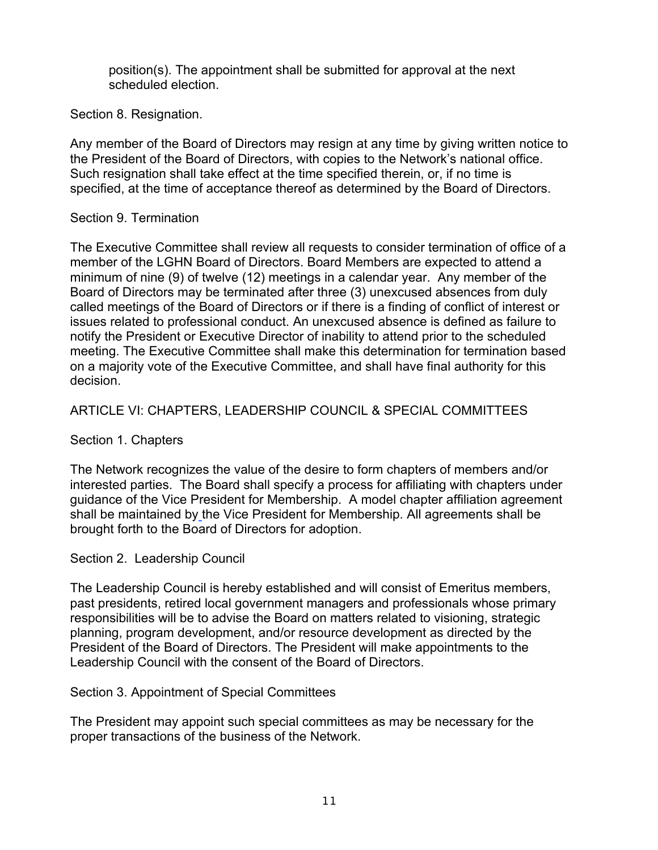position(s). The appointment shall be submitted for approval at the next scheduled election.

Section 8. Resignation.

Any member of the Board of Directors may resign at any time by giving written notice to the President of the Board of Directors, with copies to the Network's national office. Such resignation shall take effect at the time specified therein, or, if no time is specified, at the time of acceptance thereof as determined by the Board of Directors.

# Section 9. Termination

The Executive Committee shall review all requests to consider termination of office of a member of the LGHN Board of Directors. Board Members are expected to attend a minimum of nine (9) of twelve (12) meetings in a calendar year. Any member of the Board of Directors may be terminated after three (3) unexcused absences from duly called meetings of the Board of Directors or if there is a finding of conflict of interest or issues related to professional conduct. An unexcused absence is defined as failure to notify the President or Executive Director of inability to attend prior to the scheduled meeting. The Executive Committee shall make this determination for termination based on a majority vote of the Executive Committee, and shall have final authority for this decision.

# ARTICLE VI: CHAPTERS, LEADERSHIP COUNCIL & SPECIAL COMMITTEES

# Section 1. Chapters

The Network recognizes the value of the desire to form chapters of members and/or interested parties. The Board shall specify a process for affiliating with chapters under guidance of the Vice President for Membership. A model chapter affiliation agreement shall be maintained by the Vice President for Membership. All agreements shall be brought forth to the Board of Directors for adoption.

# Section 2. Leadership Council

The Leadership Council is hereby established and will consist of Emeritus members, past presidents, retired local government managers and professionals whose primary responsibilities will be to advise the Board on matters related to visioning, strategic planning, program development, and/or resource development as directed by the President of the Board of Directors. The President will make appointments to the Leadership Council with the consent of the Board of Directors.

## Section 3. Appointment of Special Committees

The President may appoint such special committees as may be necessary for the proper transactions of the business of the Network.